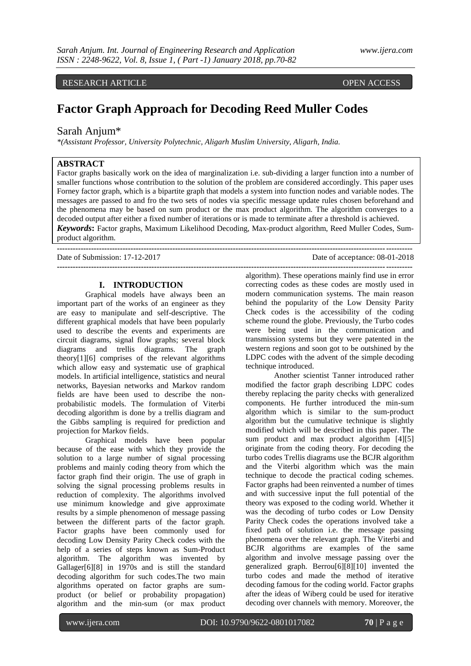RESEARCH ARTICLE **CONSERVANCESS** 

# **Factor Graph Approach for Decoding Reed Muller Codes**

# Sarah Anjum\*

*\*(Assistant Professor, University Polytechnic, Aligarh Muslim University, Aligarh, India.*

# **ABSTRACT**

Factor graphs basically work on the idea of marginalization i.e. sub-dividing a larger function into a number of smaller functions whose contribution to the solution of the problem are considered accordingly. This paper uses Forney factor graph, which is a bipartite graph that models a system into function nodes and variable nodes. The messages are passed to and fro the two sets of nodes via specific message update rules chosen beforehand and the phenomena may be based on sum product or the max product algorithm. The algorithm converges to a decoded output after either a fixed number of iterations or is made to terminate after a threshold is achieved. *Keywords***:** Factor graphs, Maximum Likelihood Decoding, Max-product algorithm, Reed Muller Codes, Sumproduct algorithm.

**---------------------------------------------------------------------------------------------------------------------------------------**

Date of Submission: 17-12-2017 Date of acceptance: 08-01-2018

# **I. INTRODUCTION**

Graphical models have always been an important part of the works of an engineer as they are easy to manipulate and self-descriptive. The different graphical models that have been popularly used to describe the events and experiments are circuit diagrams, signal flow graphs; several block diagrams and trellis diagrams. The graph theory[1][6] comprises of the relevant algorithms which allow easy and systematic use of graphical models. In artificial intelligence, statistics and neural networks, Bayesian networks and Markov random fields are have been used to describe the nonprobabilistic models. The formulation of Viterbi decoding algorithm is done by a trellis diagram and the Gibbs sampling is required for prediction and projection for Markov fields.

Graphical models have been popular because of the ease with which they provide the solution to a large number of signal processing problems and mainly coding theory from which the factor graph find their origin. The use of graph in solving the signal processing problems results in reduction of complexity. The algorithms involved use minimum knowledge and give approximate results by a simple phenomenon of message passing between the different parts of the factor graph. Factor graphs have been commonly used for decoding Low Density Parity Check codes with the help of a series of steps known as Sum-Product algorithm. The algorithm was invented by Gallager[6][8] in 1970s and is still the standard decoding algorithm for such codes.The two main algorithms operated on factor graphs are sumproduct (or belief or probability propagation) algorithm and the min-sum (or max product

**--------------------------------------------------------------------------------------------------------------------------------------** algorithm). These operations mainly find use in error correcting codes as these codes are mostly used in modern communication systems. The main reason behind the popularity of the Low Density Parity Check codes is the accessibility of the coding scheme round the globe. Previously, the Turbo codes were being used in the communication and transmission systems but they were patented in the western regions and soon got to be outshined by the LDPC codes with the advent of the simple decoding technique introduced.

Another scientist Tanner introduced rather modified the factor graph describing LDPC codes thereby replacing the parity checks with generalized components. He further introduced the min-sum algorithm which is similar to the sum-product algorithm but the cumulative technique is slightly modified which will be described in this paper. The sum product and max product algorithm [4][5] originate from the coding theory. For decoding the turbo codes Trellis diagrams use the BCJR algorithm and the Viterbi algorithm which was the main technique to decode the practical coding schemes. Factor graphs had been reinvented a number of times and with successive input the full potential of the theory was exposed to the coding world. Whether it was the decoding of turbo codes or Low Density Parity Check codes the operations involved take a fixed path of solution i.e. the message passing phenomena over the relevant graph. The Viterbi and BCJR algorithms are examples of the same algorithm and involve message passing over the generalized graph. Berrou[6][8][10] invented the turbo codes and made the method of iterative decoding famous for the coding world. Factor graphs after the ideas of Wiberg could be used for iterative decoding over channels with memory. Moreover, the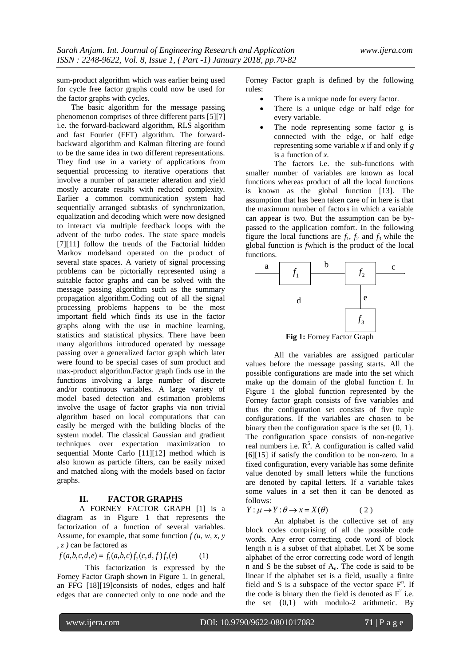sum-product algorithm which was earlier being used for cycle free factor graphs could now be used for the factor graphs with cycles.

The basic algorithm for the message passing phenomenon comprises of three different parts [5][7] i.e. the forward-backward algorithm, RLS algorithm and fast Fourier (FFT) algorithm. The forwardbackward algorithm and Kalman filtering are found to be the same idea in two different representations. They find use in a variety of applications from sequential processing to iterative operations that involve a number of parameter alteration and yield mostly accurate results with reduced complexity. Earlier a common communication system had sequentially arranged subtasks of synchronization, equalization and decoding which were now designed to interact via multiple feedback loops with the advent of the turbo codes. The state space models [7][11] follow the trends of the Factorial hidden Markov modelsand operated on the product of several state spaces. A variety of signal processing problems can be pictorially represented using a suitable factor graphs and can be solved with the message passing algorithm such as the summary propagation algorithm.Coding out of all the signal processing problems happens to be the most important field which finds its use in the factor graphs along with the use in machine learning, statistics and statistical physics. There have been many algorithms introduced operated by message passing over a generalized factor graph which later were found to be special cases of sum product and max-product algorithm.Factor graph finds use in the functions involving a large number of discrete and/or continuous variables. A large variety of model based detection and estimation problems involve the usage of factor graphs via non trivial algorithm based on local computations that can easily be merged with the building blocks of the system model. The classical Gaussian and gradient techniques over expectation maximization to sequential Monte Carlo [11][12] method which is also known as particle filters, can be easily mixed and matched along with the models based on factor graphs.

#### **II. FACTOR GRAPHS**

A FORNEY FACTOR GRAPH [1] is a diagram as in Figure 1 that represents the factorization of a function of several variables. Assume, for example, that some function  $f(u, w, x, y)$ *, z )* can be factored as

$$
f(a,b,c,d,e) = f_1(a,b,c) f_2(c,d,f) f_3(e) \tag{1}
$$

This factorization is expressed by the Forney Factor Graph shown in Figure 1. In general, an FFG [18][19]consists of nodes, edges and half edges that are connected only to one node and the

Forney Factor graph is defined by the following rules:

- There is a unique node for every factor.
- There is a unique edge or half edge for every variable.
- The node representing some factor g is connected with the edge, or half edge representing some variable *x* if and only if *g*  is a function of *x.*

The factors i.e. the sub-functions with smaller number of variables are known as local functions whereas product of all the local functions is known as the global function [13]. The assumption that has been taken care of in here is that the maximum number of factors in which a variable can appear is two. But the assumption can be bypassed to the application comfort. In the following figure the local functions are  $f_1$ ,  $f_2$  and  $f_3$  while the global function is *f*which is the product of the local functions.



All the variables are assigned particular values before the message passing starts. All the possible configurations are made into the set which make up the domain of the global function f. In Figure 1 the global function represented by the Forney factor graph consists of five variables and thus the configuration set consists of five tuple configurations. If the variables are chosen to be binary then the configuration space is the set  $\{0, 1\}$ . The configuration space consists of non-negative real numbers i.e.  $R^5$ . A configuration is called valid  $[6][15]$  if satisfy the condition to be non-zero. In a fixed configuration, every variable has some definite value denoted by small letters while the functions are denoted by capital letters. If a variable takes some values in a set then it can be denoted as follows:

 $Y: \mu \rightarrow Y: \theta \rightarrow x = X(\theta)$ ( 2 )

An alphabet is the collective set of any block codes comprising of all the possible code words. Any error correcting code word of block length n is a subset of that alphabet. Let X be some alphabet of the error correcting code word of length n and S be the subset of An. The code is said to be linear if the alphabet set is a field, usually a finite field and S is a subspace of the vector space  $F<sup>n</sup>$ . If the code is binary then the field is denoted as  $F^2$  i.e. the set  $\{0,1\}$  with modulo-2 arithmetic. By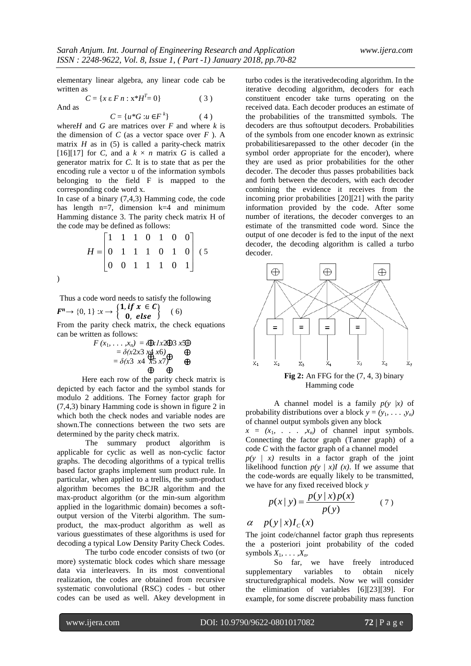$(4)$ 

elementary linear algebra, any linear code cab be written as  $C = \{x \in F \mid n : x^*H^T = 0\}$  (3)

And as

$$
C = \{u \,*\, G : u \in F^k\}
$$

where *H* and *G* are matrices over *F* and where *k* is the dimension of  $C$  (as a vector space over  $F$ ). A matrix  $H$  as in (5) is called a parity-check matrix [16][17] for *C*, and a  $k \times n$  matrix *G* is called a generator matrix for *C*. It is to state that as per the encoding rule a vector u of the information symbols belonging to the field F is mapped to the corresponding code word x.

In case of a binary (7,4,3) Hamming code, the code has length n=7, dimension k=4 and minimum Hamming distance 3. The parity check matrix H of the code may be defined as follows:

$$
H = \begin{bmatrix} 1 & 1 & 1 & 0 & 1 & 0 & 0 \\ 0 & 1 & 1 & 1 & 0 & 1 & 0 \\ 0 & 0 & 1 & 1 & 1 & 0 & 1 \end{bmatrix} (5)
$$

)

Thus a code word needs to satisfy the following  $\mathbf{F}^n \to \{0, 1\} : x \to \begin{cases} \n1, & \text{if } x \in \mathbf{C} \\ \n0, & \text{else.} \n\end{cases}$ ( 6)

0, else From the parity check matrix, the check equations can be written as follows:

$$
F(x_1, ..., x_n) = \bigoplus \lambda 1x2\bigoplus 3x\bigoplus
$$
  
=  $\delta(x2x3 \times 4 \times 6)$   
=  $\delta(x3 \times 4 \times 5 \times 7)$   
 $\bigoplus$   
 $\bigoplus$ 

Here each row of the parity check matrix is depicted by each factor and the symbol stands for modulo 2 additions. The Forney factor graph for (7,4,3) binary Hamming code is shown in figure 2 in which both the check nodes and variable nodes are shown.The connections between the two sets are determined by the parity check matrix.

The summary product algorithm is applicable for cyclic as well as non-cyclic factor graphs. The decoding algorithms of a typical trellis based factor graphs implement sum product rule. In particular, when applied to a trellis, the sum-product algorithm becomes the BCJR algorithm and the max-product algorithm (or the min-sum algorithm applied in the logarithmic domain) becomes a softoutput version of the Viterbi algorithm. The sumproduct, the max-product algorithm as well as various guesstimates of these algorithms is used for decoding a typical Low Density Parity Check Codes.

The turbo code encoder consists of two (or more) systematic block codes which share message data via interleavers. In its most conventional realization, the codes are obtained from recursive systematic convolutional (RSC) codes - but other codes can be used as well. Akey development in

turbo codes is the iterativedecoding algorithm. In the iterative decoding algorithm, decoders for each constituent encoder take turns operating on the received data. Each decoder produces an estimate of the probabilities of the transmitted symbols. The decoders are thus softoutput decoders. Probabilities of the symbols from one encoder known as extrinsic probabilitiesarepassed to the other decoder (in the symbol order appropriate for the encoder), where they are used as prior probabilities for the other decoder. The decoder thus passes probabilities back and forth between the decoders, with each decoder combining the evidence it receives from the incoming prior probabilities [20][21] with the parity information provided by the code. After some number of iterations, the decoder converges to an estimate of the transmitted code word. Since the output of one decoder is fed to the input of the next decoder, the decoding algorithm is called a turbo decoder.



**Fig 2:** An FFG for the (7, 4, 3) binary Hamming code

A channel model is a family  $p(y | x)$  of probability distributions over a block  $y = (y_1, \ldots, y_n)$ of channel output symbols given any block

 $x = (x_1, \ldots, x_n)$  of channel input symbols. Connecting the factor graph (Tanner graph) of a code *C* with the factor graph of a channel model

 $p(y \mid x)$  results in a factor graph of the joint likelihood function  $p(y | x)I(x)$ . If we assume that the code-words are equally likely to be transmitted, we have for any fixed received block *y*

$$
p(x | y) = \frac{p(y | x) p(x)}{p(y)}
$$
 (7)

 $\alpha$  *p*( $y | x$ )*I<sub>c</sub>*( $x$ )

The joint code/channel factor graph thus represents the a posteriori joint probability of the coded symbols  $X_1, \ldots, X_n$ .

So far, we have freely introduced supplementary variables to obtain nicely structuredgraphical models. Now we will consider the elimination of variables [6][23][39]. For example, for some discrete probability mass function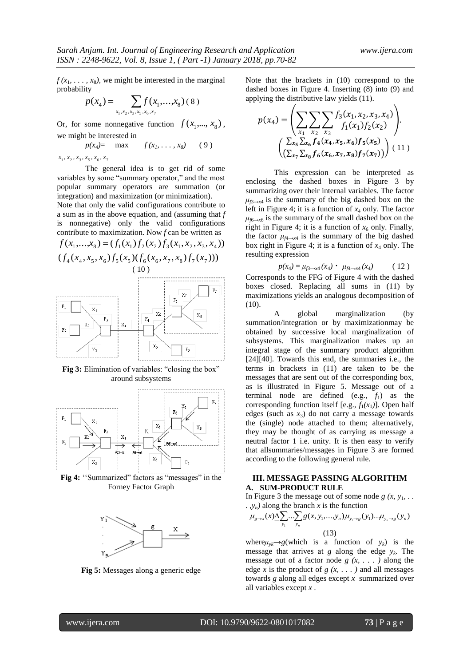$f(x_1, \ldots, x_8)$ , we might be interested in the marginal probability

$$
p(x_4) = \sum_{x_1, x_2, x_3, x_5, x_6, x_7} f(x_1, \ldots, x_8) \, (8)
$$

Or, for some nonnegative function  $f(x_1,...,x_8)$ , we might be interested in

$$
p(x_4) = \max \qquad f(x_1, \ldots, x_8) \qquad (9)
$$

 $x_1, x_2, x_3, x_5, x_6, x_7$ 

The general idea is to get rid of some variables by some "summary operator," and the most popular summary operators are summation (or integration) and maximization (or minimization).

Note that only the valid configurations contribute to a sum as in the above equation, and (assuming that *f*  is nonnegative) only the valid configurations contribute to maximization. Now *f* can be written as

$$
f(x_1,...,x_8) = (f_1(x_1)f_2(x_2)f_3(x_1,x_2,x_3,x_4))
$$
  
\n
$$
(f_4(x_4,x_5,x_6)f_5(x_5)(f_6(x_6,x_7,x_8)f_7(x_7)))
$$
  
\n(10)  
\nF<sub>8</sub>  
\nF<sub>1</sub>  
\nF<sub>1</sub>  
\nF<sub>2</sub>  
\nF<sub>3</sub>  
\nF<sub>4</sub>  
\nF<sub>4</sub>  
\nF<sub>5</sub>  
\nF<sub>6</sub>  
\nF<sub>8</sub>  
\nF<sub>8</sub>  
\nF<sub>8</sub>  
\nF<sub>9</sub>  
\nF<sub>8</sub>  
\nF<sub>9</sub>  
\nF<sub>8</sub>  
\nF<sub>9</sub>  
\nF<sub>8</sub>  
\nF<sub>9</sub>  
\nF<sub>8</sub>  
\nF<sub>9</sub>  
\nF<sub>8</sub>  
\nF<sub>9</sub>  
\nF<sub>9</sub>  
\nF<sub>9</sub>  
\nF<sub>9</sub>  
\nF<sub>9</sub>  
\nF<sub>9</sub>  
\nF<sub>9</sub>  
\nF<sub>9</sub>  
\nF<sub>9</sub>  
\nF<sub>9</sub>  
\nF<sub>9</sub>  
\nF<sub>9</sub>  
\nF<sub>9</sub>  
\nF<sub>9</sub>  
\nF<sub>9</sub>  
\nF<sub>9</sub>  
\nF<sub>9</sub>  
\nF<sub>9</sub>  
\nF<sub>9</sub>  
\nF<sub>9</sub>  
\nF<sub>9</sub>  
\nF<sub>9</sub>  
\nF<sub>9</sub>  
\nF<sub>9</sub>  
\nF<sub>9</sub>  
\nF<sub>9</sub>  
\nF<sub>9</sub>  
\nF<sub>9</sub>  
\nF<sub>9</sub>  
\nF<sub>9</sub>  
\nF<sub>9</sub>  
\nF<sub>9</sub>  
\nF<sub>9</sub>  
\nF<sub>9</sub>  
\nF<sub>9</sub>  
\nF<sub>9</sub>  
\nF<sub>9</sub>  
\nF<sub>9</sub>





Fig 4: "Summarized" factors as "messages" in the Forney Factor Graph



**Fig 5:** Messages along a generic edge

Note that the brackets in (10) correspond to the dashed boxes in Figure 4. Inserting (8) into (9) and applying the distributive law yields (11).

$$
p(x_4) = \left(\sum_{x_1} \sum_{x_2} \sum_{x_3} f_3(x_1, x_2, x_3, x_4) \cdot \left(\sum_{x_1} \sum_{x_2} \sum_{x_3} f_1(x_1) f_2(x_2)\right) \cdot \left(\sum_{x_5} \sum_{x_6} f_4(x_4, x_5, x_6) f_5(x_5) \cdot \left(\sum_{x_7} \sum_{x_8} f_6(x_6, x_7, x_8) f_7(x_7)\right)\right) (11)
$$

This expression can be interpreted as enclosing the dashed boxes in Figure 3 by summarizing over their internal variables. The factor  $\mu_{f3\rightarrow x4}$  is the summary of the big dashed box on the left in Figure 4; it is a function of *x*<sup>4</sup> only. The factor  $\mu_{f6\rightarrow x6}$  is the summary of the small dashed box on the right in Figure 4; it is a function of  $x<sub>6</sub>$  only. Finally, the factor  $\mu_{f_4\to x4}$  is the summary of the big dashed box right in Figure 4; it is a function of *x*<sup>4</sup> only. The resulting expression

$$
p(x_4) = \mu_{f3 \to x4} (x_4) \cdot \mu_{f4 \to x4} (x_4) \quad (12)
$$

Corresponds to the FFG of Figure 4 with the dashed boxes closed. Replacing all sums in (11) by maximizations yields an analogous decomposition of (10).

A global marginalization (by summation/integration or by maximizationmay be obtained by successive local marginalization of subsystems. This marginalization makes up an integral stage of the summary product algorithm [24][40]. Towards this end, the summaries i.e., the terms in brackets in (11) are taken to be the messages that are sent out of the corresponding box, as is illustrated in Figure 5. Message out of a terminal node are defined  $(e.g., f_1)$  as the corresponding function itself [e.g.,  $f_1(x_1)$ ]. Open half edges (such as  $x_3$ ) do not carry a message towards the (single) node attached to them; alternatively, they may be thought of as carrying as message a neutral factor 1 i.e. unity. It is then easy to verify that allsummaries/messages in Figure 3 are formed according to the following general rule.

# **III. MESSAGE PASSING ALGORITHM A. SUM-PRODUCT RULE**

In Figure 3 the message out of some node  $g(x, y_1, \ldots)$ *. ,yn)* along the branch *x* is the function

$$
\mu_{g \to x}(x) \underline{\underline{\Delta}} \sum_{y_1} \dots \sum_{y_n} g(x, y_1, \dots, y_n) \mu_{y_1 \to g}(y_1) \dots \mu_{y_n \to g}(y_n)
$$
\n(13)

where $\mu_{\nu k} \rightarrow g(\text{which is a function of } y_k)$  is the message that arrives at *g* along the edge *y<sup>k</sup>* . The message out of a factor node  $g(x, \ldots)$  along the edge *x* is the product of  $g(x, \ldots)$  and all messages towards *g* along all edges except *x* summarized over all variables except *x* .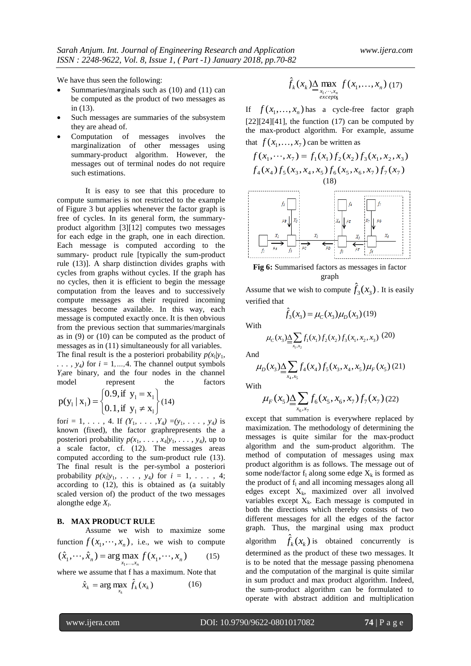We have thus seen the following:

- Summaries/marginals such as (10) and (11) can be computed as the product of two messages as in (13).
- Such messages are summaries of the subsystem they are ahead of.
- Computation of messages involves the marginalization of other messages using summary-product algorithm. However, the messages out of terminal nodes do not require such estimations.

It is easy to see that this procedure to compute summaries is not restricted to the example of Figure 3 but applies whenever the factor graph is free of cycles. In its general form, the summaryproduct algorithm [3][12] computes two messages for each edge in the graph, one in each direction. Each message is computed according to the summary- product rule [typically the sum-product rule (13)]. A sharp distinction divides graphs with cycles from graphs without cycles. If the graph has no cycles, then it is efficient to begin the message computation from the leaves and to successively compute messages as their required incoming messages become available. In this way, each message is computed exactly once. It is then obvious from the previous section that summaries/marginals as in (9) or (10) can be computed as the product of messages as in (11) simultaneously for all variables. The final result is the a posteriori probability  $p(x_1|y_1, y_2)$  $\ldots$ ,  $y_4$ *)* for  $i = 1, \ldots, 4$ . The channel output symbols *Yl*are binary, and the four nodes in the channel model represent the factors

$$
p(y_1 | x_1) = \begin{cases} 0.9, \text{if } y_1 = x_1 \\ 0.1, \text{if } y_1 \neq x_1 \end{cases} (14)
$$

for*i* = 1, ..., 4. If  $(Y_1, \ldots, Y_4) = (y_1, \ldots, y_4)$  is known (fixed), the factor graphrepresents the a posteriori probability  $p(x_1, \ldots, x_4 | y_1, \ldots, y_4)$ , up to a scale factor, cf. (12). The messages areas computed according to the sum-product rule (13). The final result is the per-symbol a posteriori probability  $p(x_i|y_1, \ldots, y_4)$  for  $i = 1, \ldots, 4;$ according to (12), this is obtained as (a suitably scaled version of) the product of the two messages alongthe edge *X<sup>l</sup>* .

#### **B. MAX PRODUCT RULE**

Assume we wish to maximize some function  $f(x_1, \dots, x_n)$ , i.e., we wish to compute  $(\hat{x}_1, \dots, \hat{x}_n) = \arg \max_{x_1, \dots, x_n} f(x_1, \dots, x_n)$  (15)

where we assume that f has a maximum. Note that

$$
\hat{x}_k = \arg \max_{x_k} \hat{f}_k(x_k) \tag{16}
$$

$$
\hat{f}_k(x_k) \underline{\Delta} \max_{\substack{x_1, \cdots, x_n \\ \text{excepr}_k}} f(x_1, \ldots, x_n) \tag{17}
$$

If  $f(x_1,...,x_n)$  has a cycle-free factor graph  $[22][24][41]$ , the function (17) can be computed by the max-product algorithm. For example, assume that  $f(x_1, \ldots, x_7)$  can be written as

$$
f(x_1, ..., x_7) = f_1(x_1) f_2(x_2) f_3(x_1, x_2, x_3)
$$
  
\n
$$
f_4(x_4) f_5(x_3, x_4, x_5) f_6(x_5, x_6, x_7) f_7(x_7)
$$
  
\n(18)  
\n
$$
\uparrow \qquad \qquad \downarrow \qquad \qquad \downarrow \qquad \downarrow \qquad \downarrow \qquad \downarrow \qquad \downarrow \qquad \downarrow \qquad \downarrow \qquad \downarrow \qquad \downarrow \qquad \downarrow \qquad \downarrow \qquad \downarrow \qquad \downarrow \qquad \downarrow \qquad \downarrow \qquad \downarrow \qquad \downarrow \qquad \downarrow \qquad \downarrow \qquad \downarrow \qquad \downarrow \qquad \downarrow \qquad \downarrow \qquad \downarrow \qquad \downarrow \qquad \downarrow \qquad \downarrow \qquad \downarrow \qquad \downarrow \qquad \downarrow \qquad \downarrow \qquad \downarrow \qquad \downarrow \qquad \downarrow \qquad \downarrow \qquad \downarrow \qquad \downarrow \qquad \downarrow \qquad \downarrow \qquad \downarrow \qquad \downarrow \qquad \downarrow \qquad \downarrow \qquad \downarrow \qquad \downarrow \qquad \downarrow \qquad \downarrow \qquad \downarrow \qquad \downarrow \qquad \downarrow \qquad \downarrow \qquad \downarrow \qquad \downarrow \qquad \downarrow \qquad \downarrow \qquad \downarrow \qquad \downarrow \qquad \downarrow \qquad \downarrow \qquad \downarrow \qquad \downarrow \qquad \downarrow \qquad \downarrow \qquad \downarrow \qquad \downarrow \qquad \downarrow \qquad \downarrow \qquad \downarrow \qquad \downarrow \qquad \downarrow \qquad \downarrow \qquad \downarrow \qquad \downarrow \qquad \downarrow \qquad \downarrow \qquad \downarrow \qquad \downarrow \qquad \downarrow \qquad \downarrow \qquad \downarrow \qquad \downarrow \qquad \downarrow \qquad \downarrow \qquad \downarrow \qquad \downarrow \qquad \downarrow \qquad \downarrow \qquad \downarrow \qquad \downarrow \qquad \downarrow \qquad \downarrow \qquad \downarrow \qquad \downarrow \qquad \downarrow \qquad \downarrow \qquad \downarrow \qquad \downarrow \qquad \downarrow \qquad \downarrow \qquad \downarrow \qquad \downarrow \qquad \downarrow \qquad \downarrow \qquad \downarrow \qquad \downarrow \q
$$

**Fig 6:** Summarised factors as messages in factor graph

Assume that we wish to compute  $\hat{f}_3(x_3)$ . It is easily verified that

$$
\hat{f}_3(x_3) = \mu_C(x_3)\mu_D(x_3)(19)
$$

With

$$
\mu_{C}(x_3) \underline{\Delta} \sum_{x_1, x_2} f_1(x_1) f_2(x_2) f_3(x_1, x_2, x_3) \tag{20}
$$

And

$$
\mu_D(x_3) \underline{\Delta} \sum_{x_4, x_5} f_4(x_4) f_5(x_3, x_4, x_5) \mu_F(x_5)
$$
 (21)

With

$$
\mu_F(x_5) \underline{\Delta} \sum_{x_6, x_7} f_6(x_5, x_6, x_7) f_7(x_7) (22)
$$

except that summation is everywhere replaced by maximization. The methodology of determining the messages is quite similar for the max-product algorithm and the sum-product algorithm. The method of computation of messages using max product algorithm is as follows. The message out of some node/factor  $f_1$  along some edge  $X_k$  is formed as the product of  $f_1$  and all incoming messages along all edges except  $X_k$ , maximized over all involved variables except  $X_k$ . Each message is computed in both the directions which thereby consists of two different messages for all the edges of the factor graph. Thus, the marginal using max product algorithm  $\hat{f}_k(x_k)$  is obtained concurrently is determined as the product of these two messages. It is to be noted that the message passing phenomena and the computation of the marginal is quite similar in sum product and max product algorithm. Indeed, the sum-product algorithm can be formulated to operate with abstract addition and multiplication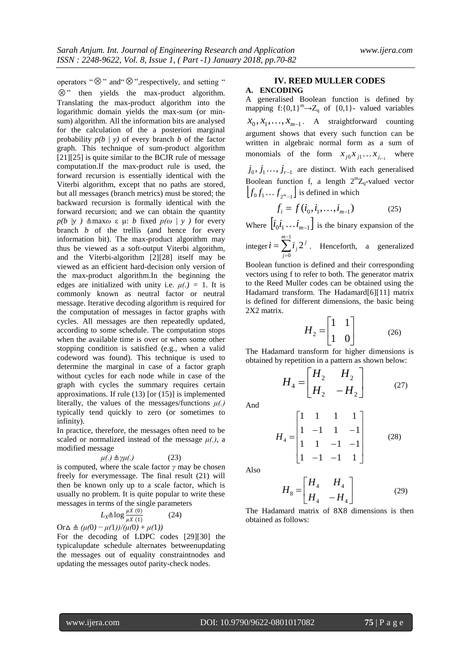operators " $\otimes$ " and " $\otimes$ ", respectively, and setting "

 $\otimes$ " then yields the max-product algorithm. Translating the max-product algorithm into the logarithmic domain yields the max-sum (or minsum) algorithm. All the information bits are analysed for the calculation of the a posteriori marginal probability *p(b* | *y)* of every branch *b* of the factor graph. This technique of sum-product algorithm [21][25] is quite similar to the BCJR rule of message computation.If the max-product rule is used, the forward recursion is essentially identical with the Viterbi algorithm, except that no paths are stored, but all messages (branch metrics) must be stored; the backward recursion is formally identical with the forward recursion; and we can obtain the quantity *p*(*b* |*y* )  $\triangleq$ maxω ε μ: *b* fixed *p*(ω | *y* ) for every branch *b* of the trellis (and hence for every information bit). The max-product algorithm may thus be viewed as a soft-output Viterbi algorithm, and the Viterbi-algorithm [2][28] itself may be viewed as an efficient hard-decision only version of the max-product algorithm.In the beginning the edges are initialized with unity i.e.  $\mu(.) = 1$ . It is commonly known as neutral factor or neutral message. Iterative decoding algorithm is required for the computation of messages in factor graphs with cycles. All messages are then repeatedly updated, according to some schedule. The computation stops when the available time is over or when some other stopping condition is satisfied (e.g., when a valid codeword was found). This technique is used to determine the marginal in case of a factor graph without cycles for each node while in case of the graph with cycles the summary requires certain approximations. If rule (13) [or (15)] is implemented literally, the values of the messages/functions *μ(.)*  typically tend quickly to zero (or sometimes to infinity).

In practice, therefore, the messages often need to be scaled or normalized instead of the message *μ(.)*, a modified message

$$
\mu(.) \triangleq \gamma \mu(.) \tag{23}
$$

is computed, where the scale factor *γ* may be chosen freely for everymessage. The final result (21) will then be known only up to a scale factor, which is usually no problem. It is quite popular to write these messages in terms of the single parameters

$$
L_X \triangleq \log \frac{\mu X(0)}{\mu X(1)}
$$
 (24)

 $Or \Delta \triangleq (\mu(0) - \mu(1))/(\mu(0) + \mu(1))$ 

For the decoding of LDPC codes [29][30] the typicalupdate schedule alternates betweenupdating the messages out of equality constraintnodes and updating the messages outof parity-check nodes.

#### **IV. REED MULLER CODES**

# **A. ENCODING**

A generalised Boolean function is defined by mapping f: ${0,1}^m$  $\rightarrow$ Z<sub>q</sub> of  ${0,1}$ - valued variables  $x_0, x_1, \ldots, x_{m-1}$ . A straightforward counting argument shows that every such function can be written in algebraic normal form as a sum of monomials of the form  $x_{j0}x_{j1}...x_{j_{r-1}}$ where  $j_0, j_1, \ldots, j_{r-1}$  are distinct. With each generalised Boolean function f, a length  $2^m Z_q$ -valued vector  $[f_0 f_1 ... f_{2^m-1}]$  is defined in which

$$
f_i = f(i_0, i_1, \dots, i_{m-1})
$$
 (25)

Where  $[i_0 i_1 \dots i_{m-1}]$  is the binary expansion of the

integer  $i = \sum_{i=1}^{m-1}$  $\equiv$  $=\sum_{n=1}^{\infty}$  $\mathbf{0}$ 2 *m j j*  $i = \sum_{i} i_i 2^{i}$ . Henceforth, a generalized

Boolean function is defined and their corresponding vectors using f to refer to both. The generator matrix to the Reed Muller codes can be obtained using the Hadamard transform. The Hadamard[6][11] matrix is defined for different dimensions, the basic being 2X2 matrix.

$$
H_2 = \begin{bmatrix} 1 & 1 \\ 1 & 0 \end{bmatrix} \tag{26}
$$

The Hadamard transform for higher dimensions is obtained by repetition in a pattern as shown below:

$$
H_4 = \begin{bmatrix} H_2 & H_2 \\ H_2 & -H_2 \end{bmatrix} (27)
$$

And

$$
H_4 = \begin{bmatrix} 1 & 1 & 1 & 1 \\ 1 & -1 & 1 & -1 \\ 1 & 1 & -1 & -1 \\ 1 & -1 & -1 & 1 \end{bmatrix} \tag{28}
$$

Also

$$
H_8 = \begin{bmatrix} H_4 & H_4 \\ H_4 & -H_4 \end{bmatrix} \tag{29}
$$

The Hadamard matrix of 8X8 dimensions is then obtained as follows: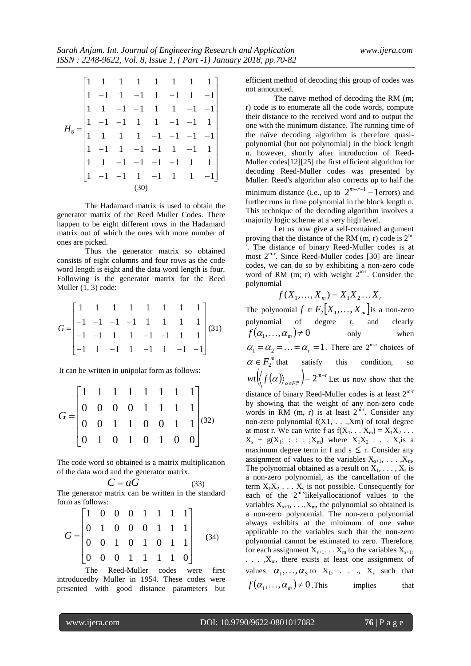$\overline{\phantom{a}}$  $\overline{\phantom{a}}$  $\overline{\phantom{a}}$  $\overline{\phantom{a}}$  $\overline{\phantom{a}}$  $\overline{\phantom{a}}$  $\overline{\phantom{a}}$  $\overline{\phantom{a}}$  $\overline{\phantom{a}}$  $\overline{\phantom{a}}$  $\overline{\phantom{a}}$  $\overline{\phantom{a}}$  $\mathbf{1}$ L  $\mathbf{r}$  $\begin{vmatrix} 1 & 1 & -1 & -1 & -1 & -1 & 1 & 1 \end{vmatrix}$ ŀ  $\mathbf{r}$  $\mathsf{L}$ ŀ  $\mathbf{r}$  $\begin{vmatrix} 1 & 1 & -1 & -1 & 1 & 1 & -1 & -1 \end{vmatrix}$ ľ  $\begin{vmatrix} 1 & -1 & 1 & -1 & 1 & -1 & 1 & -1 \end{vmatrix}$  $\begin{bmatrix} 1 & -1 & -1 & 1 & -1 & 1 & 1 & -1 \end{bmatrix}$  1 1 1 1 1 1 1 1  $1 -1 1 -1 -1 -1 1 -1 1$  $-1$   $-1$   $-1$   $-1$   $-1$   $1$   $1$   $-1$   $=$  $1 \quad 1 \quad 1 \quad 1 \quad -1 \quad -1 \quad -1 \quad -1$  $1 -1 -1 1 1 1 -1 -1 1$  $H^8$ (30)

The Hadamard matrix is used to obtain the generator matrix of the Reed Muller Codes. There happen to be eight different rows in the Hadamard matrix out of which the ones with more number of ones are picked.

Thus the generator matrix so obtained consists of eight columns and four rows as the code word length is eight and the data word length is four. Following is the generator matrix for the Reed Muller (1, 3) code:

$$
G = \begin{bmatrix} 1 & 1 & 1 & 1 & 1 & 1 & 1 & 1 \\ -1 & -1 & -1 & -1 & 1 & 1 & 1 & 1 \\ -1 & -1 & 1 & 1 & -1 & -1 & 1 & 1 \\ -1 & 1 & -1 & 1 & -1 & 1 & -1 & -1 \end{bmatrix} (31)
$$

It can be written in unipolar form as follows:

$$
G = \begin{bmatrix} 1 & 1 & 1 & 1 & 1 & 1 & 1 & 1 \\ 0 & 0 & 0 & 0 & 1 & 1 & 1 & 1 \\ 0 & 0 & 1 & 1 & 0 & 0 & 1 & 1 \\ 0 & 1 & 0 & 1 & 0 & 1 & 0 & 0 \end{bmatrix}^{(32)}
$$

The code word so obtained is a matrix multiplication of the data word and the generator matrix.

> $C = aG$ (33)

The generator matrix can be written in the standard form as follows:

$$
G = \begin{bmatrix} 1 & 0 & 0 & 0 & 1 & 1 & 1 & 1 \\ 0 & 1 & 0 & 0 & 0 & 1 & 1 & 1 \\ 0 & 0 & 1 & 0 & 1 & 0 & 1 & 1 \\ 0 & 0 & 0 & 1 & 1 & 1 & 1 & 0 \end{bmatrix}
$$
 (34)

The Reed-Muller codes were first introducedby Muller in 1954. These codes were presented with good distance parameters but efficient method of decoding this group of codes was not announced.

The naïve method of decoding the RM (m; r) code is to enumerate all the code words, compute their distance to the received word and to output the one with the minimum distance. The running time of the naïve decoding algorithm is therefore quasipolynomial (but not polynomial) in the block length n. however, shortly after introduction of Reed-Muller codes[12][25] the first efficient algorithm for decoding Reed-Muller codes was presented by Muller. Reed's algorithm also corrects up to half the minimum distance (i.e., up to  $2^{m-r-1}$  – 1 errors) and further runs in time polynomial in the block length n. This technique of the decoding algorithm involves a majority logic scheme at a very high level.

Let us now give a self-contained argument proving that the distance of the RM  $(m, r)$  code is  $2<sup>m</sup>$ r . The distance of binary Reed-Muller codes is at most  $2^{m-r}$ . Since Reed-Muller codes [30] are linear codes, we can do so by exhibiting a non-zero code word of RM (m; r) with weight  $2^{m-r}$ . Consider the polynomial

$$
f(X_1, \ldots, X_m) = X_1 X_2 \ldots X_r
$$

The polynomial  $f \in F_2[X_1, \ldots, X_m]$  is a non-zero polynomial of degree r, and clearly  $f(\alpha_1, \ldots, \alpha_m) \neq 0$ only when  $\alpha_1 = \alpha_2 = \ldots = \alpha_r = 1$ . There are  $2^{m-r}$  choices of  $\alpha \in F_2^m$  that satisfy this condition, so  $\langle f(\alpha)\rangle_{\alpha\in\mathbb{R}^m}$  = 2<sup>*m*-*r*</sup>  $\mathcal{F}(\mathcal{F}(\alpha))_{\alpha \in F_2^m}$   $= 2^{m-1}$  $\langle \alpha \rangle_{\alpha \in F_2^m}$  =  $2^{m-r}$  Let us now show that the distance of binary Reed-Muller codes is at least  $2^{m-r}$ by showing that the weight of any non-zero code words in RM  $(m, r)$  is at least  $2^{m-r}$ . Consider any non-zero polynomial f(X1, . . .,Xm) of total degree at most r. We can write f as  $f(X_1 \ldots X_m) = X_1 X_2 \ldots$  $X_s + g(X_1; : : : : X_m)$  where  $X_1X_2 \ldots X_s$  is a maximum degree term in f and  $s \leq r$ . Consider any assignment of values to the variables  $X_{s+1}, \ldots, X_m$ . The polynomial obtained as a result on  $X_1, \ldots, X_s$  is a non-zero polynomial, as the cancellation of the term  $X_1X_2 \ldots X_s$  is not possible. Consequently for each of the 2<sup>m-s</sup>likelyallocationof values to the variables  $X_{s+1}$ , ..., $X_m$ , the polynomial so obtained is a non-zero polynomial. The non-zero polynomial always exhibits at the minimum of one value applicable to the variables such that the non-zero polynomial cannot be estimated to zero. Therefore, for each assignment  $X_{s+1}$ . . .  $X_m$  to the variables  $X_{s+1}$ ,  $\ldots$ ,  $X_m$ , there exists at least one assignment of values  $\alpha_1, \ldots, \alpha_s$  to  $X_1, \ldots, X_s$  such that  $f(\alpha_1, ..., \alpha_m) \neq 0$ . This implies that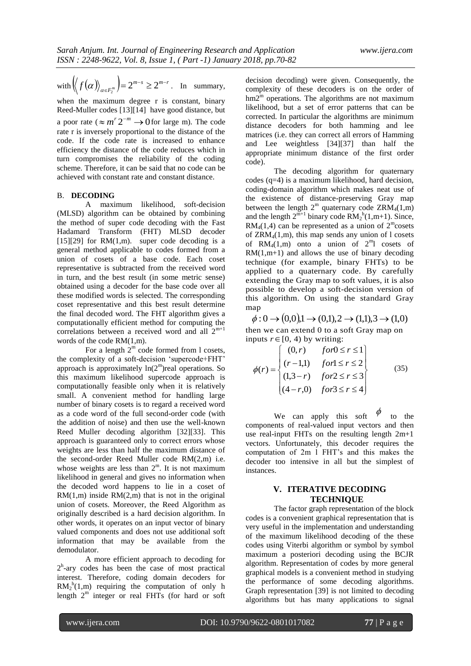with 
$$
\left\langle f(\alpha) \right\rangle_{\alpha \in F_2^m} = 2^{m-s} \ge 2^{m-r}
$$
. In summary,

when the maximum degree r is constant, binary Reed-Muller codes [13][14] have good distance, but a poor rate ( $\approx m^r 2^{-m} \rightarrow 0$  for large m). The code rate r is inversely proportional to the distance of the code. If the code rate is increased to enhance efficiency the distance of the code reduces which in turn compromises the reliability of the coding scheme. Therefore, it can be said that no code can be achieved with constant rate and constant distance.

### B. **DECODING**

A maximum likelihood, soft-decision (MLSD) algorithm can be obtained by combining the method of super code decoding with the Fast Hadamard Transform (FHT) MLSD decoder  $[15][29]$  for RM $(1,m)$ . super code decoding is a general method applicable to codes formed from a union of cosets of a base code. Each coset representative is subtracted from the received word in turn, and the best result (in some metric sense) obtained using a decoder for the base code over all these modified words is selected. The corresponding coset representative and this best result determine the final decoded word. The FHT algorithm gives a computationally efficient method for computing the correlations between a received word and all  $2^{m+1}$ words of the code RM(1,m).

For a length  $2^m$  code formed from l cosets, the complexity of a soft-decision 'supercode+FHT' approach is approximately  $ln(2<sup>m</sup>)$ real operations. So this maximum likelihood supercode approach is computationally feasible only when it is relatively small. A convenient method for handling large number of binary cosets is to regard a received word as a code word of the full second-order code (with the addition of noise) and then use the well-known Reed Muller decoding algorithm [32][33]. This approach is guaranteed only to correct errors whose weights are less than half the maximum distance of the second-order Reed Muller code RM(2,m) i.e. whose weights are less than  $2^m$ . It is not maximum likelihood in general and gives no information when the decoded word happens to lie in a coset of  $RM(1,m)$  inside  $RM(2,m)$  that is not in the original union of cosets. Moreover, the Reed Algorithm as originally described is a hard decision algorithm. In other words, it operates on an input vector of binary valued components and does not use additional soft information that may be available from the demodulator.

A more efficient approach to decoding for 2<sup>h</sup>-ary codes has been the case of most practical interest. Therefore, coding domain decoders for  $RM_2^h(1,m)$  requiring the computation of only h length  $2<sup>m</sup>$  integer or real FHTs (for hard or soft decision decoding) were given. Consequently, the complexity of these decoders is on the order of hm2<sup>m</sup> operations. The algorithms are not maximum likelihood, but a set of error patterns that can be corrected. In particular the algorithms are minimum distance decoders for both hamming and lee matrices (i.e. they can correct all errors of Hamming and Lee weightless [34][37] than half the appropriate minimum distance of the first order code).

The decoding algorithm for quaternary codes (q=4) is a maximum likelihood, hard decision, coding-domain algorithm which makes neat use of the existence of distance-preserving Gray map between the length  $2^m$  quaternary code  $ZRM_4(1,m)$ and the length  $2^{m+1}$  binary code  $RM_2^h(1,m+1)$ . Since,  $RM<sub>4</sub>(1,4)$  can be represented as a union of  $2^{\text{m}}$ cosets of  $ZRM<sub>4</sub>(1,m)$ , this map sends any union of l cosets of  $RM_4(1,m)$  onto a union of  $2^m1$  cosets of  $RM(1,m+1)$  and allows the use of binary decoding technique (for example, binary FHTs) to be applied to a quaternary code. By carefully extending the Gray map to soft values, it is also possible to develop a soft-decision version of this algorithm. On using the standard Gray map

 $\phi: 0 \to (0,0), 1 \to (0,1), 2 \to (1,1), 3 \to (1,0)$ then we can extend 0 to a soft Gray map on

inputs 
$$
r \in [0, 4)
$$
 by writing:  
\n
$$
\phi(r) = \begin{cases}\n(0, r) & \text{for } 0 \le r \le 1 \\
(r-1, 1) & \text{for } 1 \le r \le 2 \\
(1, 3-r) & \text{for } 2 \le r \le 3 \\
(4-r, 0) & \text{for } 3 \le r \le 4\n\end{cases}
$$
\n(35)

We can apply this soft  $\phi$ to the components of real-valued input vectors and then use real-input FHTs on the resulting length 2m+1 vectors. Unfortunately, this decoder requires the computation of 2m l FHT's and this makes the decoder too intensive in all but the simplest of instances.

# **V. ITERATIVE DECODING TECHNIQUE**

The factor graph representation of the block codes is a convenient graphical representation that is very useful in the implementation and understanding of the maximum likelihood decoding of the these codes using Viterbi algorithm or symbol by symbol maximum a posteriori decoding using the BCJR algorithm. Representation of codes by more general graphical models is a convenient method in studying the performance of some decoding algorithms. Graph representation [39] is not limited to decoding algorithms but has many applications to signal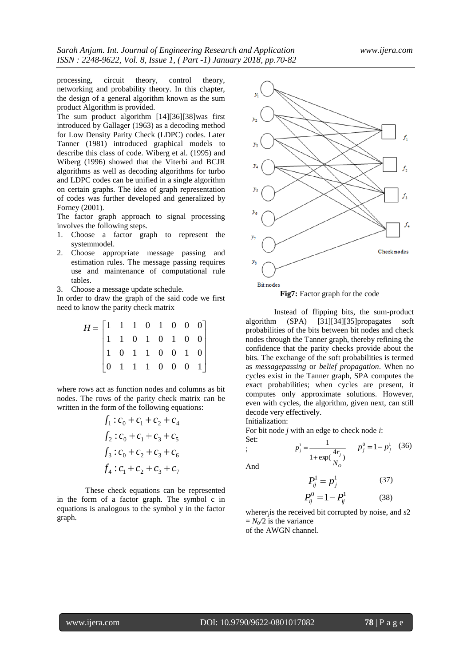processing, circuit theory, control theory, networking and probability theory. In this chapter, the design of a general algorithm known as the sum product Algorithm is provided.

The sum product algorithm [14][36][38]was first introduced by Gallager (1963) as a decoding method for Low Density Parity Check (LDPC) codes. Later Tanner (1981) introduced graphical models to describe this class of code. Wiberg et al. (1995) and Wiberg (1996) showed that the Viterbi and BCJR algorithms as well as decoding algorithms for turbo and LDPC codes can be unified in a single algorithm on certain graphs. The idea of graph representation of codes was further developed and generalized by Forney (2001).

The factor graph approach to signal processing involves the following steps.

- 1. Choose a factor graph to represent the systemmodel.
- 2. Choose appropriate message passing and estimation rules. The message passing requires use and maintenance of computational rule tables.
- 3. Choose a message update schedule.

In order to draw the graph of the said code we first need to know the parity check matrix

| $H = \begin{bmatrix} 1 & 1 & 1 & 0 & 1 & 0 & 0 & 0 \ 1 & 1 & 0 & 1 & 0 & 1 & 0 & 0 \ 1 & 0 & 1 & 1 & 0 & 0 & 1 & 0 \ 0 & 1 & 1 & 1 & 0 & 0 & 0 & 1 \end{bmatrix}$ |  |  |  |  |  |
|-------------------------------------------------------------------------------------------------------------------------------------------------------------------|--|--|--|--|--|

where rows act as function nodes and columns as bit nodes. The rows of the parity check matrix can be written in the form of the following equations:

$$
f_1: c_0 + c_1 + c_2 + c_4
$$
  
\n
$$
f_2: c_0 + c_1 + c_3 + c_5
$$
  
\n
$$
f_3: c_0 + c_2 + c_3 + c_6
$$
  
\n
$$
f_4: c_1 + c_2 + c_3 + c_7
$$

These check equations can be represented in the form of a factor graph. The symbol c in equations is analogous to the symbol y in the factor graph.



Instead of flipping bits, the sum-product algorithm (SPA) [31][34][35]propagates soft probabilities of the bits between bit nodes and check nodes through the Tanner graph, thereby refining the confidence that the parity checks provide about the bits. The exchange of the soft probabilities is termed as *messagepassing* or *belief propagation*. When no cycles exist in the Tanner graph, SPA computes the exact probabilities; when cycles are present, it computes only approximate solutions. However, even with cycles, the algorithm, given next, can still decode very effectively.  $H = \begin{bmatrix} 1 & 1 & 1 & 0 & 1 & 0 & 0 & 0 \\ 1 & 1 & 1 & 0 & 1 & 0 & 1 & 0 \\ 1 & 0 & 1 & 1 & 0 & 0 & 1 & 0 \\ 0 & 1 & 1 & 1 & 0 & 0 & 0 & 1 \end{bmatrix}$  probabilities of the bits betwee<br>  $\begin{bmatrix} 1 & 1 & 1 & 0 & 1 & 0 & 0 \\ 0 & 1 & 1 & 1 & 0 & 0 & 0 & 1 \end{bmatrix}$  confidence that

Initialization:

For bit node *j* with an edge to check node *i*: Set:

$$
p_j^1 = \frac{1}{1 + \exp(\frac{4r_j}{N_o})} \qquad p_j^0 = 1 - p_j^1 \quad (36)
$$

And

;

$$
P_{ij}^1 = p_j^1 \tag{37}
$$

$$
P_{ij}^0 = 1 - P_{ij}^1 \tag{38}
$$

where*r<sup>j</sup>* is the received bit corrupted by noise, and *s*2  $= N_0/2$  is the variance

of the AWGN channel.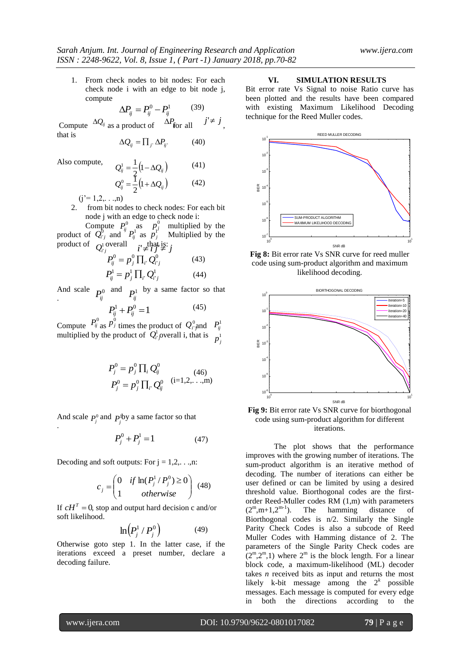1. From check nodes to bit nodes: For each check node i with an edge to bit node j, compute

$$
\Delta P_{ij} = P_{ij}^0 - P_{ij}^1 \tag{39}
$$

Compute  $\frac{\Delta Q_{ij}}{s}$  as a product of  $\frac{\Delta T}{s}$  for all  $\frac{J}{s}$ , that is  $\Delta Q_i$  as a product of  $\Delta P$  *f*or all  $j' \neq j$ 

$$
\Delta Q_{ij} = \prod_{j'} \Delta P_{ij'} \tag{40}
$$

Also compute,

$$
Q_{ij}^{1} = \frac{1}{2} (1 - \Delta Q_{ij})
$$
 (41)  

$$
Q_{ij}^{0} = \frac{1}{2} (1 + \Delta Q_{ij})
$$
 (42)

 $(j'= 1,2,...,n)$ 

2. from bit nodes to check nodes: For each bit node j with an edge to check node i:

Compute  $P_{ii}^{0}$  as  $P_{i}^{0}$  multiplied by the product of  $Q_{i,j}^{\circ}$  and  $P_{ij}^{\circ}$  as  $p_j^{\circ}$  Multiplied by the product of  $Q_{i'j}^1$  overall  $i' \neq i, j' \neq j'$  $P_{ij}^{0}$  as  $p_{i}^{0}$  $Q_{i'j}^0$  and  ${}^{ij}P_{ij}^1$  $Q_{i'j}^1$ <sup>overall</sup>  $i' \neq i$  $p_j^{\rm r}$ 

$$
P_{ij}^{0} = p_j^{0} \prod_{i'} Q_{i'j}^{0}
$$
 (43)  

$$
P_{ij}^{1} = p_j^{1} \prod_{i'} Q_{i'j}^{1}
$$
 (44)

And scale  $\mathbf{p}_0$  and  $\mathbf{p}_1$  by a same factor so that And scale  $P_{ij}^0$  and  $P_{ij}^1$ 

$$
P_{ij}^1 + P_{ij}^0 = 1 \tag{45}
$$

Compute  $\int f_{ij}$  as  $P_j$  times the product of  $Q_i^{\circ}$  and multiplied by the product of  $Q_i^i$  overall i, that is  $P_{ij}^0$  as  $P_j^0$  times the product of  $Q_{i'}^0$  and  $P_{ij}^1$  $Q_i^1$  overall i, that is  $p_j^1$ 

$$
P_j^0 = p_j^0 \prod_i Q_{ij}^0
$$
  
\n
$$
P_j^0 = p_j^0 \prod_i Q_{ij}^0
$$
 (46)  
\n
$$
P_j^0 = p_j^0 \prod_i Q_{ij}^0
$$
 (i=1,2,...,m)

And scale  $P^0$  and  $P^1$ by a same factor so that And scale  $P_j^0$  and  $P_j^1$ .

$$
P_j^0 + P_j^1 = 1 \tag{47}
$$

Decoding and soft outputs: For  $j = 1, 2, \ldots, n$ :

$$
c_j = \begin{pmatrix} 0 & if \ln(P_j^1/P_j^0) \ge 0 \\ 1 & otherwise \end{pmatrix}
$$
 (48)

If  $cH<sup>T</sup> = 0$ , stop and output hard decision c and/or soft likelihood.

$$
\ln\left(P_j^1/P_j^0\right) \tag{49}
$$

Otherwise goto step 1. In the latter case, if the iterations exceed a preset number, declare a decoding failure.

#### **VI. SIMULATION RESULTS**

Bit error rate Vs Signal to noise Ratio curve has been plotted and the results have been compared with existing Maximum Likelihood Decoding technique for the Reed Muller codes.



**Fig 8:** Bit error rate Vs SNR curve for reed muller code using sum-product algorithm and maximum likelihood decoding.



**Fig 9:** Bit error rate Vs SNR curve for biorthogonal code using sum-product algorithm for different iterations.

The plot shows that the performance improves with the growing number of iterations. The sum-product algorithm is an iterative method of decoding. The number of iterations can either be user defined or can be limited by using a desired threshold value. Biorthogonal codes are the firstorder Reed-Muller codes RM  $(1,m)$  with parameters  $(2^m,m+1,2^{m-1})$ . The hamming distance of  $(2^m,m+1,2^{m-1})$ . The hamming distance of Biorthogonal codes is n/2. Similarly the Single Parity Check Codes is also a subcode of Reed Muller Codes with Hamming distance of 2. The parameters of the Single Parity Check codes are  $(2^m,2^m,1)$  where  $2^m$  is the block length. For a linear block code, a maximum-likelihood (ML) decoder takes *n* received bits as input and returns the most likely k-bit message among the  $2^k$  possible messages. Each message is computed for every edge in both the directions according to the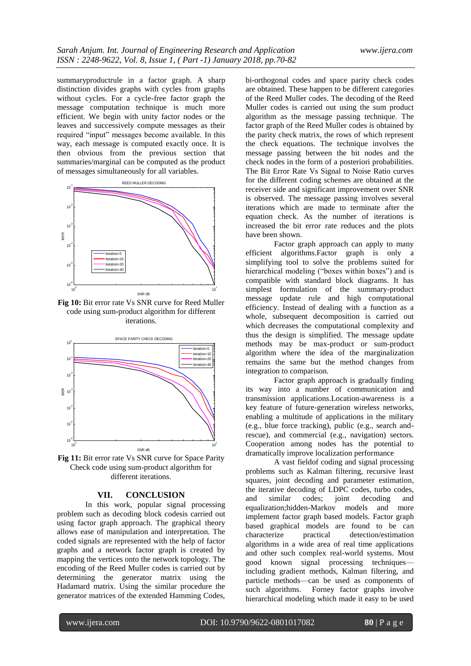summaryproductrule in a factor graph. A sharp distinction divides graphs with cycles from graphs without cycles. For a cycle-free factor graph the message computation technique is much more efficient. We begin with unity factor nodes or the leaves and successively compute messages as their required "input" messages become available. In this way, each message is computed exactly once. It is then obvious from the previous section that summaries/marginal can be computed as the product of messages simultaneously for all variables.



**Fig 10:** Bit error rate Vs SNR curve for Reed Muller code using sum-product algorithm for different iterations.



**Fig 11:** Bit error rate Vs SNR curve for Space Parity Check code using sum-product algorithm for different iterations.

# **VII. CONCLUSION**

In this work, popular signal processing problem such as decoding block codesis carried out using factor graph approach. The graphical theory allows ease of manipulation and interpretation. The coded signals are represented with the help of factor graphs and a network factor graph is created by mapping the vertices onto the network topology. The encoding of the Reed Muller codes is carried out by determining the generator matrix using the Hadamard matrix. Using the similar procedure the generator matrices of the extended Hamming Codes,

bi-orthogonal codes and space parity check codes are obtained. These happen to be different categories of the Reed Muller codes. The decoding of the Reed Muller codes is carried out using the sum product algorithm as the message passing technique. The factor graph of the Reed Muller codes is obtained by the parity check matrix, the rows of which represent the check equations. The technique involves the message passing between the bit nodes and the check nodes in the form of a posteriori probabilities. The Bit Error Rate Vs Signal to Noise Ratio curves for the different coding schemes are obtained at the receiver side and significant improvement over SNR is observed. The message passing involves several iterations which are made to terminate after the equation check. As the number of iterations is increased the bit error rate reduces and the plots have been shown.

Factor graph approach can apply to many efficient algorithms.Factor graph is only a simplifying tool to solve the problems suited for hierarchical modeling ("boxes within boxes") and is compatible with standard block diagrams. It has simplest formulation of the summary-product message update rule and high computational efficiency. Instead of dealing with a function as a whole, subsequent decomposition is carried out which decreases the computational complexity and thus the design is simplified. The message update methods may be max-product or sum-product algorithm where the idea of the marginalization remains the same but the method changes from integration to comparison.

Factor graph approach is gradually finding its way into a number of communication and transmission applications.Location-awareness is a key feature of future-generation wireless networks, enabling a multitude of applications in the military (e.g., blue force tracking), public (e.g., search andrescue), and commercial (e.g., navigation) sectors. Cooperation among nodes has the potential to dramatically improve localization performance

A vast fieldof coding and signal processing problems such as Kalman filtering, recursive least squares, joint decoding and parameter estimation, the iterative decoding of LDPC codes, turbo codes, and similar codes; joint decoding and equalization;hidden-Markov models and more implement factor graph based models. Factor graph based graphical models are found to be can characterize practical detection/estimation algorithms in a wide area of real time applications and other such complex real-world systems. Most good known signal processing techniques including gradient methods, Kalman filtering, and particle methods—can be used as components of such algorithms. Forney factor graphs involve hierarchical modeling which made it easy to be used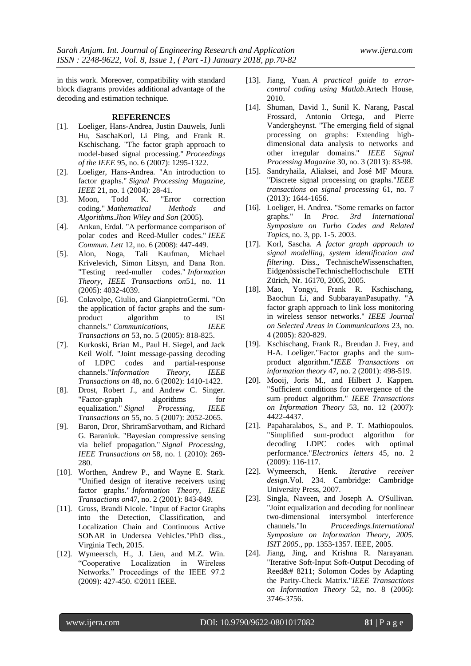in this work. Moreover, compatibility with standard block diagrams provides additional advantage of the decoding and estimation technique.

### **REFERENCES**

- [1]. Loeliger, Hans-Andrea, Justin Dauwels, Junli Hu, SaschaKorl, Li Ping, and Frank R. Kschischang. "The factor graph approach to model-based signal processing." *Proceedings of the IEEE* 95, no. 6 (2007): 1295-1322.
- [2]. Loeliger, Hans-Andrea. "An introduction to factor graphs." *Signal Processing Magazine,*
- *IEEE* 21, no. 1 (2004): 28-41.<br>Moon. Todd K. "Error [3]. Moon, Todd K. "Error correction coding." *Mathematical Methods and Algorithms.Jhon Wiley and Son* (2005).
- [4]. Arıkan, Erdal. "A performance comparison of polar codes and Reed-Muller codes." *IEEE*
- *Commun. Lett* 12, no. 6 (2008): 447-449.<br>[5]. Alon, Noga, Tali Kaufman, Mi Tali Kaufman, Michael Krivelevich, Simon Litsyn, and Dana Ron. "Testing reed-muller codes." *Information Theory, IEEE Transactions on*51, no. 11 (2005): 4032-4039.
- [6]. Colavolpe, Giulio, and GianpietroGermi. "On the application of factor graphs and the sumproduct algorithm to ISI channels." *Communications, IEEE Transactions on* 53, no. 5 (2005): 818-825.
- [7]. Kurkoski, Brian M., Paul H. Siegel, and Jack Keil Wolf. "Joint message-passing decoding of LDPC codes and partial-response channels."*Information Theory, IEEE Transactions on* 48, no. 6 (2002): 1410-1422.
- [8]. Drost, Robert J., and Andrew C. Singer. "Factor-graph algorithms for equalization." *Signal Processing, IEEE Transactions on* 55, no. 5 (2007): 2052-2065.
- [9]. Baron, Dror, ShriramSarvotham, and Richard G. Baraniuk. "Bayesian compressive sensing via belief propagation." *Signal Processing, IEEE Transactions on* 58, no. 1 (2010): 269- 280.
- [10]. Worthen, Andrew P., and Wayne E. Stark. "Unified design of iterative receivers using factor graphs." *Information Theory, IEEE Transactions on*47, no. 2 (2001): 843-849.
- [11]. Gross, Brandi Nicole. "Input of Factor Graphs into the Detection, Classification, and Localization Chain and Continuous Active SONAR in Undersea Vehicles."PhD diss., Virginia Tech, 2015.
- [12]. Wymeersch, H., J. Lien, and M.Z. Win. ―Cooperative Localization in Wireless Networks." Proceedings of the IEEE 97.2 (2009): 427-450. ©2011 IEEE.
- [13]. Jiang, Yuan. *A practical guide to errorcontrol coding using Matlab*.Artech House, 2010.
- [14]. Shuman, David I., Sunil K. Narang, Pascal Frossard, Antonio Ortega, and Pierre Vandergheynst. "The emerging field of signal processing on graphs: Extending highdimensional data analysis to networks and other irregular domains." *IEEE Signal Processing Magazine* 30, no. 3 (2013): 83-98.
- [15]. Sandryhaila, Aliaksei, and José MF Moura. "Discrete signal processing on graphs."*IEEE transactions on signal processing* 61, no. 7 (2013): 1644-1656.
- [16]. Loeliger, H. Andrea. "Some remarks on factor graphs." In *Proc. 3rd International Symposium on Turbo Codes and Related Topics*, no. 3, pp. 1-5. 2003.
- [17]. Korl, Sascha. *A factor graph approach to signal modelling, system identification and filtering*. Diss., TechnischeWissenschaften, EidgenössischeTechnischeHochschule ETH Zürich, Nr. 16170, 2005, 2005.
- [18]. Mao, Yongyi, Frank R. Kschischang, Baochun Li, and SubbarayanPasupathy. "A factor graph approach to link loss monitoring in wireless sensor networks." *IEEE Journal on Selected Areas in Communications* 23, no. 4 (2005): 820-829.
- [19]. Kschischang, Frank R., Brendan J. Frey, and H-A. Loeliger."Factor graphs and the sumproduct algorithm."*IEEE Transactions on information theory* 47, no. 2 (2001): 498-519.
- [20]. Mooij, Joris M., and Hilbert J. Kappen. "Sufficient conditions for convergence of the sum–product algorithm." *IEEE Transactions on Information Theory* 53, no. 12 (2007): 4422-4437.
- [21]. Papaharalabos, S., and P. T. Mathiopoulos. "Simplified sum-product algorithm for decoding LDPC codes with optimal performance."*Electronics letters* 45, no. 2 (2009): 116-117.
- [22]. Wymeersch, Henk. *Iterative receiver design*.Vol. 234. Cambridge: Cambridge University Press, 2007.
- [23]. Singla, Naveen, and Joseph A. O'Sullivan. "Joint equalization and decoding for nonlinear two-dimensional intersymbol interference channels."In *Proceedings.International Symposium on Information Theory, 2005. ISIT 2005.*, pp. 1353-1357. IEEE, 2005.
- [24]. Jiang, Jing, and Krishna R. Narayanan. "Iterative Soft-Input Soft-Output Decoding of Reed&# 8211; Solomon Codes by Adapting the Parity-Check Matrix."*IEEE Transactions on Information Theory* 52, no. 8 (2006): 3746-3756.